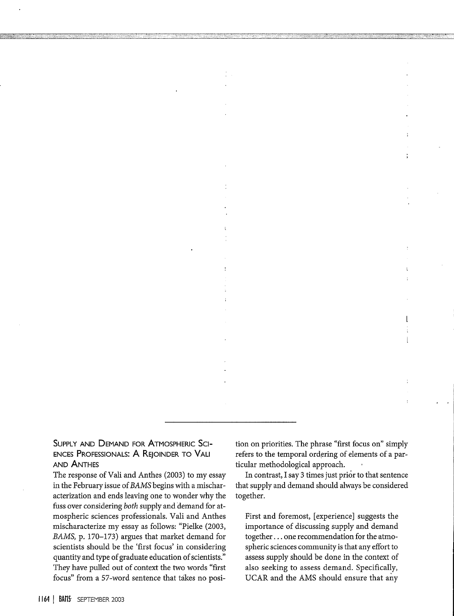SUPPLY **AND DEMAND** FOR **ATMOSPHERIC** SCI-**ENCES PROFESSIONALS:** A REJOINDER TO VALI **AND ANTHES**

The response of Vali and Anthes (2003) to my essay in the February issue of *BAMS* begins with a mischaracterization and ends leaving one to wonder why the fuss over considering *both* supply and demand for atmospheric sciences professionals. Vali and Anthes mischaracterize my essay as follows: "Pielke (2003, *BAMS,* p. 170-173) argues that market demand for scientists should be the 'first focus' in considering quantity and type of graduate education of scientists." They have pulled out of context the two words "first focus" from a 57-word sentence that takes no posi-

tion on priorities. The phrase "first focus on" simply refers to the temporal ordering of elements of a particular methodological approach.

 $\ddot{\phantom{a}}$ 

 $\ddot{\phantom{1}}$ 

 $\mathbf{I}$ 

 $\mathbf{I}$ 

In contrast, I say 3 times just prior to that sentence that supply and demand should always be considered together.

First and foremost, [experience] suggests the importance of discussing supply and demand together . .. one recommendation for the atmospheric sciences community is that any effort to assess supply should be done in the context of also seeking to assess demand. Specifically, UCAR and the AMS should ensure that any